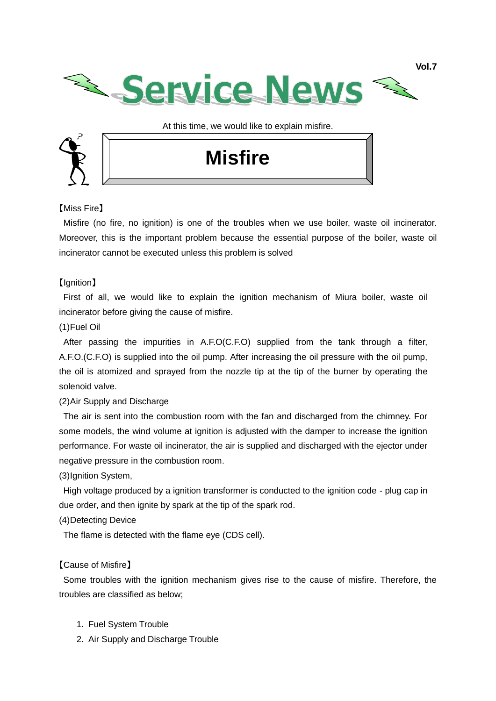

At this time, we would like to explain misfire.



# **Misfire**

# 【Miss Fire】

Misfire (no fire, no ignition) is one of the troubles when we use boiler, waste oil incinerator. Moreover, this is the important problem because the essential purpose of the boiler, waste oil incinerator cannot be executed unless this problem is solved

# 【Ignition】

First of all, we would like to explain the ignition mechanism of Miura boiler, waste oil incinerator before giving the cause of misfire.

# (1)Fuel Oil

After passing the impurities in A.F.O(C.F.O) supplied from the tank through a filter, A.F.O.(C.F.O) is supplied into the oil pump. After increasing the oil pressure with the oil pump, the oil is atomized and sprayed from the nozzle tip at the tip of the burner by operating the solenoid valve.

# (2)Air Supply and Discharge

The air is sent into the combustion room with the fan and discharged from the chimney. For some models, the wind volume at ignition is adjusted with the damper to increase the ignition performance. For waste oil incinerator, the air is supplied and discharged with the ejector under negative pressure in the combustion room.

(3)Ignition System,

High voltage produced by a ignition transformer is conducted to the ignition code - plug cap in due order, and then ignite by spark at the tip of the spark rod.

# (4)Detecting Device

The flame is detected with the flame eye (CDS cell).

# 【Cause of Misfire】

Some troubles with the ignition mechanism gives rise to the cause of misfire. Therefore, the troubles are classified as below;

- 1. Fuel System Trouble
- 2. Air Supply and Discharge Trouble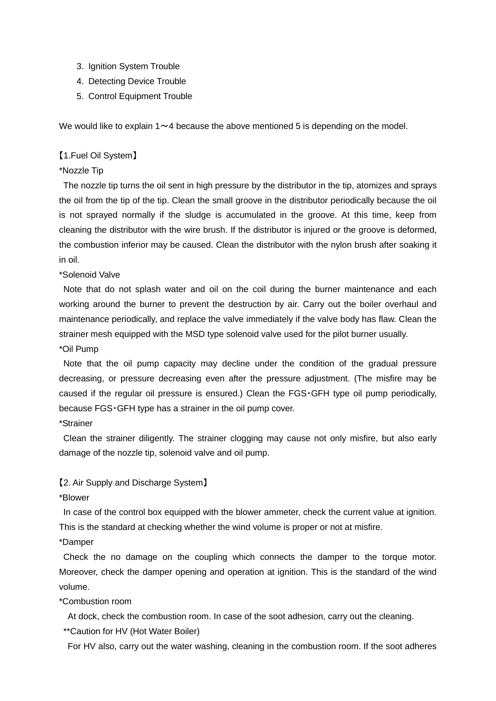- 3. Ignition System Trouble
- 4. Detecting Device Trouble
- 5. Control Equipment Trouble

We would like to explain  $1 \sim 4$  because the above mentioned 5 is depending on the model.

## 【1.Fuel Oil System】

#### \*Nozzle Tip

The nozzle tip turns the oil sent in high pressure by the distributor in the tip, atomizes and sprays the oil from the tip of the tip. Clean the small groove in the distributor periodically because the oil is not sprayed normally if the sludge is accumulated in the groove. At this time, keep from cleaning the distributor with the wire brush. If the distributor is injured or the groove is deformed, the combustion inferior may be caused. Clean the distributor with the nylon brush after soaking it in oil.

\*Solenoid Valve

Note that do not splash water and oil on the coil during the burner maintenance and each working around the burner to prevent the destruction by air. Carry out the boiler overhaul and maintenance periodically, and replace the valve immediately if the valve body has flaw. Clean the strainer mesh equipped with the MSD type solenoid valve used for the pilot burner usually.

\*Oil Pump

Note that the oil pump capacity may decline under the condition of the gradual pressure decreasing, or pressure decreasing even after the pressure adjustment. (The misfire may be caused if the regular oil pressure is ensured.) Clean the FGS・GFH type oil pump periodically, because FGS・GFH type has a strainer in the oil pump cover.

## \*Strainer

Clean the strainer diligently. The strainer clogging may cause not only misfire, but also early damage of the nozzle tip, solenoid valve and oil pump.

#### 【2. Air Supply and Discharge System】

\*Blower

In case of the control box equipped with the blower ammeter, check the current value at ignition. This is the standard at checking whether the wind volume is proper or not at misfire.

## \*Damper

Check the no damage on the coupling which connects the damper to the torque motor. Moreover, check the damper opening and operation at ignition. This is the standard of the wind volume.

## \*Combustion room

At dock, check the combustion room. In case of the soot adhesion, carry out the cleaning.

\*\*Caution for HV (Hot Water Boiler)

For HV also, carry out the water washing, cleaning in the combustion room. If the soot adheres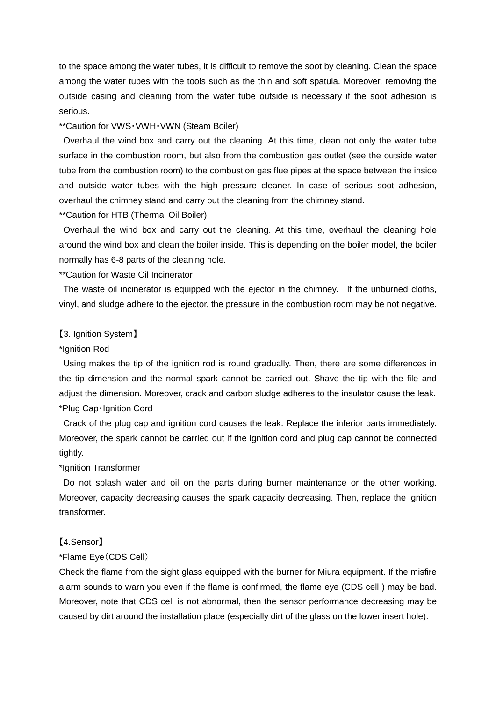to the space among the water tubes, it is difficult to remove the soot by cleaning. Clean the space among the water tubes with the tools such as the thin and soft spatula. Moreover, removing the outside casing and cleaning from the water tube outside is necessary if the soot adhesion is serious.

#### \*\*Caution for VWS・VWH・VWN (Steam Boiler)

Overhaul the wind box and carry out the cleaning. At this time, clean not only the water tube surface in the combustion room, but also from the combustion gas outlet (see the outside water tube from the combustion room) to the combustion gas flue pipes at the space between the inside and outside water tubes with the high pressure cleaner. In case of serious soot adhesion, overhaul the chimney stand and carry out the cleaning from the chimney stand.

\*\*Caution for HTB (Thermal Oil Boiler)

Overhaul the wind box and carry out the cleaning. At this time, overhaul the cleaning hole around the wind box and clean the boiler inside. This is depending on the boiler model, the boiler normally has 6-8 parts of the cleaning hole.

\*\*Caution for Waste Oil Incinerator

The waste oil incinerator is equipped with the ejector in the chimney. If the unburned cloths, vinyl, and sludge adhere to the ejector, the pressure in the combustion room may be not negative.

#### 【3. Ignition System】

#### \*Ignition Rod

Using makes the tip of the ignition rod is round gradually. Then, there are some differences in the tip dimension and the normal spark cannot be carried out. Shave the tip with the file and adjust the dimension. Moreover, crack and carbon sludge adheres to the insulator cause the leak. \*Plug Cap・Ignition Cord

Crack of the plug cap and ignition cord causes the leak. Replace the inferior parts immediately. Moreover, the spark cannot be carried out if the ignition cord and plug cap cannot be connected tightly.

## \*Ignition Transformer

Do not splash water and oil on the parts during burner maintenance or the other working. Moreover, capacity decreasing causes the spark capacity decreasing. Then, replace the ignition transformer.

#### 【4.Sensor】

#### \*Flame Eye(CDS Cell)

Check the flame from the sight glass equipped with the burner for Miura equipment. If the misfire alarm sounds to warn you even if the flame is confirmed, the flame eye (CDS cell ) may be bad. Moreover, note that CDS cell is not abnormal, then the sensor performance decreasing may be caused by dirt around the installation place (especially dirt of the glass on the lower insert hole).